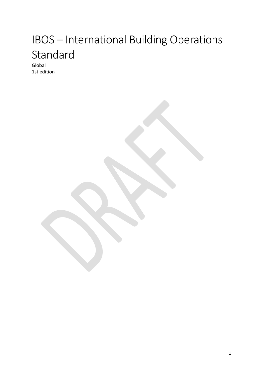# IBOS – International Building Operations Standard

Global 1st edition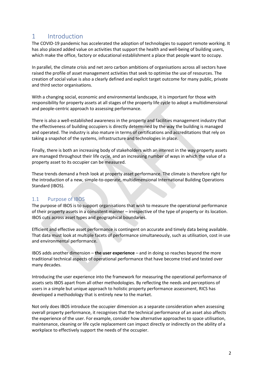# 1 Introduction

The COVID-19 pandemic has accelerated the adoption of technologies to support remote working. It has also placed added value on activities that support the health and well-being of building users, which make the office, factory or educational establishment a place that people want to occupy.

In parallel, the climate crisis and net zero carbon ambitions of organisations across all sectors have raised the profile of asset management activities that seek to optimise the use of resources. The creation of social value is also a clearly defined and explicit target outcome for many public, private and third sector organisations.

With a changing social, economic and environmental landscape, it is important for those with responsibility for property assets at all stages of the property life cycle to adopt a multidimensional and people-centric approach to assessing performance.

There is also a well-established awareness in the property and facilities management industry that the effectiveness of building occupiers is directly determined by the way the building is managed and operated. The industry is also mature in terms of certifications and accreditations that rely on taking a snapshot of the systems, infrastructure and technologies in place.

Finally, there is both an increasing body of stakeholders with an interest in the way property assets are managed throughout their life cycle, and an increasing number of ways in which the value of a property asset to its occupier can be measured.

These trends demand a fresh look at property asset performance. The climate is therefore right for the introduction of a new, simple-to-operate, multidimensional International Building Operations Standard (IBOS).

### 1.1 Purpose of IBOS

The purpose of IBOS is to support organisations that wish to measure the operational performance of their property assets in a consistent manner – irrespective of the type of property or its location. IBOS cuts across asset types and geographical boundaries.

Efficient and effective asset performance is contingent on accurate and timely data being available. That data must look at multiple facets of performance simultaneously, such as utilisation, cost in use and environmental performance.

IBOS adds another dimension – **the user experience** – and in doing so reaches beyond the more traditional technical aspects of operational performance that have become tried and tested over many decades.

Introducing the user experience into the framework for measuring the operational performance of assets sets IBOS apart from all other methodologies. By reflecting the needs and perceptions of users in a simple but unique approach to holistic property performance assessment, RICS has developed a methodology that is entirely new to the market.

Not only does IBOS introduce the occupier dimension as a separate consideration when assessing overall property performance, it recognises that the technical performance of an asset also affects the experience of the user. For example, consider how alternative approaches to space utilisation, maintenance, cleaning or life cycle replacement can impact directly or indirectly on the ability of a workplace to effectively support the needs of the occupier.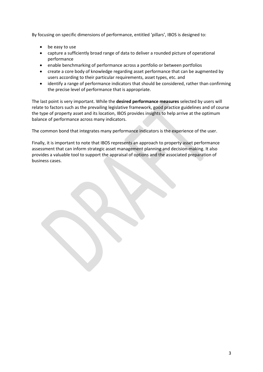By focusing on specific dimensions of performance, entitled 'pillars', IBOS is designed to:

- be easy to use
- capture a sufficiently broad range of data to deliver a rounded picture of operational performance
- enable benchmarking of performance across a portfolio or between portfolios
- create a core body of knowledge regarding asset performance that can be augmented by users according to their particular requirements, asset types, etc. and
- identify a range of performance indicators that should be considered, rather than confirming the precise level of performance that is appropriate.

The last point is very important. While the **desired performance measures** selected by users will relate to factors such as the prevailing legislative framework, good practice guidelines and of course the type of property asset and its location, IBOS provides insights to help arrive at the optimum balance of performance across many indicators.

The common bond that integrates many performance indicators is the experience of the user.

Finally, it is important to note that IBOS represents an approach to property asset performance assessment that can inform strategic asset management planning and decision-making. It also provides a valuable tool to support the appraisal of options and the associated preparation of business cases.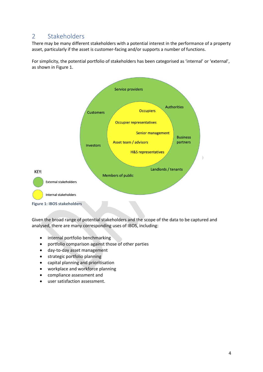# 2 Stakeholders

There may be many different stakeholders with a potential interest in the performance of a property asset, particularly if the asset is customer-facing and/or supports a number of functions.

For simplicity, the potential portfolio of stakeholders has been categorised as 'internal' or 'external', as shown in Figure 1.



Given the broad range of potential stakeholders and the scope of the data to be captured and analysed, there are many corresponding uses of IBOS, including:

- internal portfolio benchmarking
- portfolio comparison against those of other parties
- day-to-day asset management
- strategic portfolio planning
- capital planning and prioritisation
- workplace and workforce planning
- compliance assessment and
- user satisfaction assessment.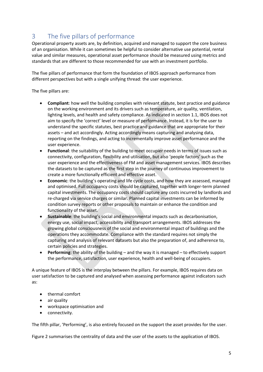# 3 The five pillars of performance

Operational property assets are, by definition, acquired and managed to support the core business of an organisation. While it can sometimes be helpful to consider alternative use potential, rental value and similar measures, operational asset performance should be measured using metrics and standards that are different to those recommended for use with an investment portfolio.

The five pillars of performance that form the foundation of IBOS approach performance from different perspectives but with a single unifying thread: the user experience.

The five pillars are:

- **Compliant**: how well the building complies with relevant statute, best practice and guidance on the working environment and its drivers such as temperature, air quality, ventilation, lighting levels, and health and safety compliance. As indicated in section 1.1, IBOS does not aim to specify the 'correct' level or measure of performance. Instead, it is for the user to understand the specific statutes, best practice and guidance that are appropriate for their assets – and act accordingly. Acting accordingly means capturing and analysing data, reporting on the findings, and acting to incrementally improve asset performance and the user experience.
- **Functional**: the suitability of the building to meet occupier needs in terms of issues such as connectivity, configuration, flexibility and utilisation, but also 'people factors' such as the user experience and the effectiveness of FM and asset management services. IBOS describes the datasets to be captured as the first step in the journey of continuous improvement to create a more functionally efficient and effective asset.
- **Economic**: the building's operating and life cycle costs, and how they are assessed, managed and optimised. Full occupancy costs should be captured, together with longer-term planned capital investments. The occupancy costs should capture any costs incurred by landlords and re-charged via service charges or similar. Planned capital investments can be informed by condition survey reports or other proposals to maintain or enhance the condition and functionality of the asset.
- **Sustainable**: the building's social and environmental impacts such as decarbonisation, energy use, social impact, accessibility and transport arrangements. IBOS addresses the growing global consciousness of the social and environmental impact of buildings and the operations they accommodate. Compliance with the standard requires not simply the capturing and analysis of relevant datasets but also the preparation of, and adherence to, certain policies and strategies.
- **Performing**: the ability of the building and the way it is managed to effectively support the performance, satisfaction, user experience, health and well-being of occupiers.

A unique feature of IBOS is the interplay between the pillars. For example, IBOS requires data on user satisfaction to be captured and analysed when assessing performance against indicators such as:

- thermal comfort
- air quality
- workspace optimisation and
- connectivity.

The fifth pillar, 'Performing', is also entirely focused on the support the asset provides for the user.

Figure 2 summarises the centrality of data and the user of the assets to the application of IBOS.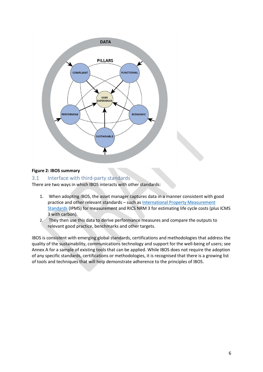

#### **Figure 2: IBOS summary**

#### 3.1 Interface with third-party standards

There are two ways in which IBOS interacts with other standards:

- 1. When adopting IBOS, the asset manager captures data in a manner consistent with good practice and other relevant standards – such a[s International Property Measurement](https://www.rics.org/uk/upholding-professional-standards/sector-standards/real-estate/international-property-measurement-standards/)  [Standards](https://www.rics.org/uk/upholding-professional-standards/sector-standards/real-estate/international-property-measurement-standards/) (IPMS) for measurement and RICS NRM 3 for estimating life cycle costs (plus ICMS 3 with carbon).
- 2. They then use this data to derive performance measures and compare the outputs to relevant good practice, benchmarks and other targets.

IBOS is consistent with emerging global standards, certifications and methodologies that address the quality of the sustainability, communications technology and support for the well-being of users; see Annex A for a sample of existing tools that can be applied. While IBOS does not require the adoption of any specific standards, certifications or methodologies, it is recognised that there is a growing list of tools and techniques that will help demonstrate adherence to the principles of IBOS.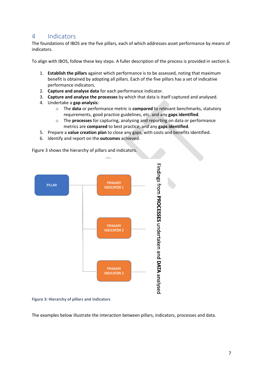## 4 Indicators

The foundations of IBOS are the five pillars, each of which addresses asset performance by means of indicators.

To align with IBOS, follow these key steps. A fuller description of the process is provided in section 6.

- 1. **Establish the pillars** against which performance is to be assessed, noting that maximum benefit is obtained by adopting all pillars. Each of the five pillars has a set of indicative performance indicators.
- 2. **Capture and analyse data** for each performance indicator.
- 3. **Capture and analyse the processes** by which that data is itself captured and analysed.
- 4. Undertake a **gap analysis**:
	- o The **data** or performance metric is **compared** to relevant benchmarks, statutory requirements, good practice guidelines, etc. and any **gaps identified**.
	- o The **processes** for capturing, analysing and reporting on data or performance metrics are **compared** to best practice, and any **gaps identified**.
- 5. Prepare a **value creation plan** to close any gaps, with costs and benefits identified.
- 6. Identify and report on the **outcomes** achieved.

Figure 3 shows the hierarchy of pillars and indicators.



**Figure 3: Hierarchy of pillars and indicators**

The examples below illustrate the interaction between pillars, indicators, processes and data.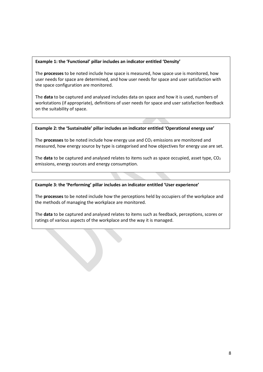#### **Example 1: the 'Functional' pillar includes an indicator entitled 'Density'**

The **processes** to be noted include how space is measured, how space use is monitored, how user needs for space are determined, and how user needs for space and user satisfaction with the space configuration are monitored.

The **data** to be captured and analysed includes data on space and how it is used, numbers of workstations (if appropriate), definitions of user needs for space and user satisfaction feedback on the suitability of space.

#### **Example 2: the 'Sustainable' pillar includes an indicator entitled 'Operational energy use'**

The **processes** to be noted include how energy use and  $CO<sub>2</sub>$  emissions are monitored and measured, how energy source by type is categorised and how objectives for energy use are set.

The **data** to be captured and analysed relates to items such as space occupied, asset type, CO<sub>2</sub> emissions, energy sources and energy consumption.

#### **Example 3: the 'Performing' pillar includes an indicator entitled 'User experience'**

The **processes** to be noted include how the perceptions held by occupiers of the workplace and the methods of managing the workplace are monitored.

The **data** to be captured and analysed relates to items such as feedback, perceptions, scores or ratings of various aspects of the workplace and the way it is managed.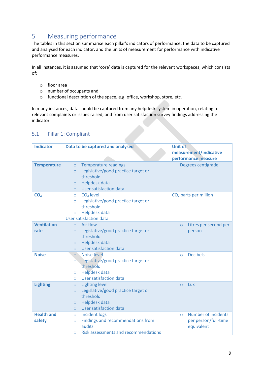# 5 Measuring performance

The tables in this section summarise each pillar's indicators of performance, the data to be captured and analysed for each indicator, and the units of measurement for performance with indicative performance measures.

In all instances, it is assumed that 'core' data is captured for the relevant workspaces, which consists of:

- o floor area
- o number of occupants and
- o functional description of the space, e.g. office, workshop, store, etc.

In many instances, data should be captured from any helpdesk system in operation, relating to relevant complaints or issues raised, and from user satisfaction survey findings addressing the indicator.

| <b>Indicator</b>            | Data to be captured and analysed                                                                                                                                               | <b>Unit of</b><br>measurement/indicative<br>performance measure             |
|-----------------------------|--------------------------------------------------------------------------------------------------------------------------------------------------------------------------------|-----------------------------------------------------------------------------|
| <b>Temperature</b>          | <b>Temperature readings</b><br>$\circ$<br>Legislative/good practice target or<br>$\circ$<br>threshold<br><b>Helpdesk data</b><br>$\circ$<br>User satisfaction data<br>$\Omega$ | Degrees centigrade                                                          |
| CO <sub>2</sub>             | $CO2$ level<br>$\circ$<br>Legislative/good practice target or<br>$\circ$<br>threshold<br><b>Helpdesk data</b><br>$\circ$<br><b>User satisfaction data</b>                      | CO <sub>2</sub> parts per million                                           |
| <b>Ventilation</b><br>rate  | Air flow<br>$\circ$<br>Legislative/good practice target or<br>$\circ$<br>threshold<br>Helpdesk data<br>$\circ$<br>User satisfaction data<br>$\Omega$                           | Litres per second per<br>$\circ$<br>person                                  |
| <b>Noise</b>                | Noise level<br>$\overline{O}$<br>Legislative/good practice target or<br>$\circ$<br>threshold<br><b>Helpdesk data</b><br>$\circ$<br>User satisfaction data<br>$\circ$           | <b>Decibels</b><br>$\circ$                                                  |
| <b>Lighting</b>             | <b>Lighting level</b><br>$\circ$<br>Legislative/good practice target or<br>$\circ$<br>threshold<br><b>Helpdesk data</b><br>$\circ$<br>User satisfaction data<br>$\Omega$       | Lux<br>$\circ$                                                              |
| <b>Health and</b><br>safety | <b>Incident logs</b><br>$\circ$<br>Findings and recommendations from<br>$\circ$<br>audits<br><b>Risk assessments and recommendations</b><br>$\circ$                            | <b>Number of incidents</b><br>$\circ$<br>per person/full-time<br>equivalent |

#### 5.1 Pillar 1: Compliant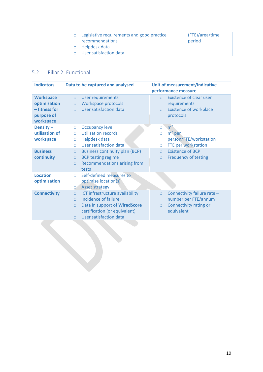| $\circ$        | Legislative requirements and good practice<br>recommendations | (FTE)/area/time<br>period |
|----------------|---------------------------------------------------------------|---------------------------|
| $\overline{O}$ | Helpdesk data                                                 |                           |
|                | User satisfaction data                                        |                           |

# 5.2 Pillar 2: Functional

| <b>Indicators</b>                                                            | Data to be captured and analysed                                                                                                                                                                | Unit of measurement/indicative<br>performance measure                                                               |
|------------------------------------------------------------------------------|-------------------------------------------------------------------------------------------------------------------------------------------------------------------------------------------------|---------------------------------------------------------------------------------------------------------------------|
| <b>Workspace</b><br>optimisation<br>- fitness for<br>purpose of<br>workspace | <b>User requirements</b><br>$\circ$<br>Workspace protocols<br>$\circ$<br>User satisfaction data<br>$\circ$                                                                                      | <b>Existence of clear user</b><br>$\Omega$<br>requirements<br><b>Existence of workplace</b><br>$\circ$<br>protocols |
| Density-<br>utilisation of<br>workspace                                      | <b>Occupancy level</b><br>$\circ$<br><b>Utilisation records</b><br>$\circ$<br>Helpdesk data<br>$\circ$<br>User satisfaction data<br>$\circ$                                                     | m <sup>2</sup><br>$\circ$<br>$m2$ per<br>$\circ$<br>person/FTE/workstation<br>FTE per workstation<br>$\circ$        |
| <b>Business</b><br>continuity                                                | <b>Business continuity plan (BCP)</b><br>$\circ$<br><b>BCP testing regime</b><br>$\circ$<br><b>Recommendations arising from</b><br>$\circ$<br>tests                                             | <b>Existence of BCP</b><br>$\circ$<br><b>Frequency of testing</b><br>$\circ$                                        |
| <b>Location</b><br>optimisation                                              | Self-defined measures to<br>$\Omega$<br>optimise location(s)<br><b>Asset strategy</b><br>$\circ$                                                                                                |                                                                                                                     |
| <b>Connectivity</b>                                                          | ICT infrastructure availability<br>$\circ$<br>Incidence of failure<br>$\circ$<br>Data in support of WiredScore<br>$\circ$<br>certification (or equivalent)<br>User satisfaction data<br>$\circ$ | Connectivity failure rate -<br>$\circ$<br>number per FTE/annum<br>Connectivity rating or<br>$\circ$<br>equivalent   |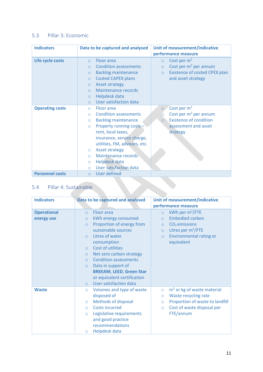## 5.3 Pillar 3: Economic

| <b>Indicators</b>      | Data to be captured and analysed                                    | Unit of measurement/indicative                                  |
|------------------------|---------------------------------------------------------------------|-----------------------------------------------------------------|
|                        |                                                                     | performance measure                                             |
| Life cycle costs       | Floor area<br>$\circ$<br><b>Condition assessments</b><br>$\circ$    | Cost per $m2$<br>$\circ$<br>Cost per $m^2$ per annum<br>$\circ$ |
|                        | <b>Backlog maintenance</b><br>$\circ$                               | Existence of costed CPEX plan<br>$\circ$                        |
|                        | <b>Costed CAPEX plans</b><br>$\circ$                                | and asset strategy                                              |
|                        | <b>Asset strategy</b><br>$\circ$<br>Maintenance records<br>$\Omega$ |                                                                 |
|                        | Helpdesk data<br>$\circ$<br>User satisfaction data                  |                                                                 |
| <b>Operating costs</b> | $\circ$<br>Floor area<br>$\circ$                                    | Cost per m <sup>2</sup><br>$\circ$                              |
|                        | <b>Condition assessments</b><br>$\bigcirc$                          | Cost per m <sup>2</sup> per annum<br>$\circ$                    |
|                        | <b>Backlog maintenance</b><br>$\circ$                               | <b>Existence of condition</b><br>$\circ$                        |
|                        | Property running costs -<br>$\circ$                                 | assessment and asset                                            |
|                        | rent, local taxes,                                                  | strategy                                                        |
|                        | insurance, service charge,<br>utilities, FM, advisors, etc.         |                                                                 |
|                        | <b>Asset strategy</b><br>$\circ$                                    |                                                                 |
|                        | Maintenance records<br>$\circ$                                      |                                                                 |
|                        | Helpdesk data<br>$\circ$                                            |                                                                 |
|                        | User satisfaction data<br>$\circ$                                   |                                                                 |
| <b>Personnel costs</b> | <b>User defined</b><br>$\circ$                                      |                                                                 |

# 5.4 Pillar 4: Sustainable

| <b>Indicators</b>  | Data to be captured and analysed          | Unit of measurement/indicative             |
|--------------------|-------------------------------------------|--------------------------------------------|
|                    |                                           | performance measure                        |
| <b>Operational</b> | Floor area<br>$\circ$                     | kWh per $m^2$ /FTE<br>$\circ$              |
| energy use         | kWh energy consumed<br>$\circ$            | <b>Embodied carbon</b><br>$\circ$          |
|                    | Proportion of energy from<br>$\circ$      | $CO2$ emissions<br>$\circ$                 |
|                    | sustainable sources                       | Litres per m <sup>2</sup> /FTE<br>$\circ$  |
|                    | Litres of water<br>$\Omega$               | <b>Environmental rating or</b><br>$\circ$  |
|                    | consumption                               | equivalent                                 |
|                    | Cost of utilities<br>$\circ$              |                                            |
|                    | Net zero carbon strategy<br>$\circ$       |                                            |
|                    | <b>Condition assessments</b><br>$\circ$   |                                            |
|                    | Data in support of<br>$\circ$             |                                            |
|                    | <b>BREEAM, LEED, Green Star</b>           |                                            |
|                    | or equivalent certification               |                                            |
|                    | <b>User satisfaction data</b><br>$\Omega$ |                                            |
| <b>Waste</b>       | Volumes and type of waste<br>$\circ$      | $m3$ or kg of waste material<br>$\circ$    |
|                    | disposed of                               | Waste recycling rate<br>$\circ$            |
|                    | <b>Methods of disposal</b><br>$\circ$     | Proportion of waste to landfill<br>$\circ$ |
|                    | <b>Costs incurred</b><br>$\circ$          | Cost of waste disposal per<br>$\circ$      |
|                    | Legislative requirements<br>$\circ$       | FTE/annum                                  |
|                    | and good practice                         |                                            |
|                    | recommendations                           |                                            |
|                    | Helpdesk data<br>$\circ$                  |                                            |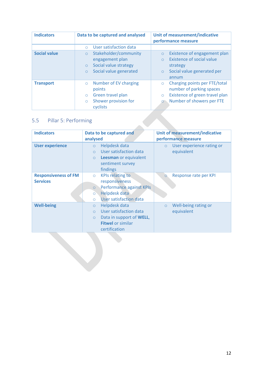| <b>Indicators</b>   | Data to be captured and analysed                                                                                             | Unit of measurement/indicative<br>performance measure                                                                                          |
|---------------------|------------------------------------------------------------------------------------------------------------------------------|------------------------------------------------------------------------------------------------------------------------------------------------|
|                     | User satisfaction data<br>$\bigcap$                                                                                          |                                                                                                                                                |
| <b>Social value</b> | Stakeholder/community<br>$\circ$<br>engagement plan<br>Social value strategy<br>$\circ$<br>Social value generated<br>$\circ$ | Existence of engagement plan<br>$\circ$<br><b>Existence of social value</b><br>strategy<br>Social value generated per<br>$\circ$<br>annum      |
| <b>Transport</b>    | Number of EV charging<br>$\circ$<br>points<br>Green travel plan<br>$\circ$<br>Shower provision for<br>$\circ$<br>cyclists    | Charging points per FTE/total<br>$\circ$<br>number of parking spaces<br>Existence of green travel plan<br>$\circ$<br>Number of showers per FTE |

# 5.5 Pillar 5: Performing

| <b>Indicators</b>                              | Data to be captured and<br>analysed                                                                                                                          | Unit of measurement/indicative<br>performance measure |
|------------------------------------------------|--------------------------------------------------------------------------------------------------------------------------------------------------------------|-------------------------------------------------------|
| <b>User experience</b>                         | Helpdesk data<br>$\circ$<br>User satisfaction data<br>$\circ$<br>Leesman or equivalent<br>$\circ$<br>sentiment survey<br>findings                            | User experience rating or<br>$\circ$<br>equivalent    |
| <b>Responsiveness of FM</b><br><b>Services</b> | <b>KPIs relating to</b><br>$\circ$<br>responsiveness<br>Performance against KPIs<br>$\circ$<br>Helpdesk data<br>$\circ$<br>User satisfaction data<br>$\circ$ | Response rate per KPI<br>$\circ$                      |
| <b>Well-being</b>                              | Helpdesk data<br>$\circ$<br>User satisfaction data<br>$\bigcirc$<br>Data in support of WELL,<br>$\circ$<br><b>Fitwel or similar</b><br>certification         | Well-being rating or<br>$\circ$<br>equivalent         |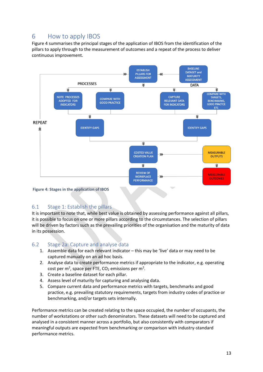# 6 How to apply IBOS

Figure 4 summarises the principal stages of the application of IBOS from the identification of the pillars to apply through to the measurement of outcomes and a repeat of the process to deliver continuous improvement.



#### **Figure 4: Stages in the application of IBOS**

### 6.1 Stage 1: Establish the pillars

It is important to note that, while best value is obtained by assessing performance against all pillars, it is possible to focus on one or more pillars according to the circumstances. The selection of pillars will be driven by factors such as the prevailing priorities of the organisation and the maturity of data in its possession.

#### 6.2 Stage 2a: Capture and analyse data

- 1. Assemble data for each relevant indicator this may be 'live' data or may need to be captured manually on an ad hoc basis.
- 2. Analyse data to create performance metrics if appropriate to the indicator, e.g. operating cost per m<sup>2</sup>, space per FTE, CO<sub>2</sub> emissions per m<sup>2</sup>.
- 3. Create a baseline dataset for each pillar.
- 4. Assess level of maturity for capturing and analysing data.
- 5. Compare current data and performance metrics with targets, benchmarks and good practice, e.g. prevailing statutory requirements, targets from industry codes of practice or benchmarking, and/or targets sets internally.

Performance metrics can be created relating to the space occupied, the number of occupants, the number of workstations or other such denominators. These datasets will need to be captured and analysed in a consistent manner across a portfolio, but also consistently with comparators if meaningful outputs are expected from benchmarking or comparison with industry-standard performance metrics.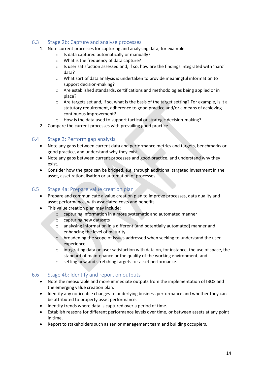### 6.3 Stage 2b: Capture and analyse processes

- 1. Note current processes for capturing and analysing data, for example:
	- o Is data captured automatically or manually?
	- o What is the frequency of data capture?
	- o Is user satisfaction assessed and, if so, how are the findings integrated with 'hard' data?
	- o What sort of data analysis is undertaken to provide meaningful information to support decision-making?
	- o Are established standards, certifications and methodologies being applied or in place?
	- o Are targets set and, if so, what is the basis of the target setting? For example, is it a statutory requirement, adherence to good practice and/or a means of achieving continuous improvement?
	- o How is the data used to support tactical or strategic decision-making?
- 2. Compare the current processes with prevailing good practice.

### 6.4 Stage 3: Perform gap analysis

- Note any gaps between current data and performance metrics and targets, benchmarks or good practice, and understand why they exist.
- Note any gaps between current processes and good practice, and understand why they exist.
- Consider how the gaps can be bridged, e.g. through additional targeted investment in the asset, asset rationalisation or automation of processes.

### 6.5 Stage 4a: Prepare value creation plan

- Prepare and communicate a value creation plan to improve processes, data quality and asset performance, with associated costs and benefits.
- This value creation plan may include:
	- o capturing information in a more systematic and automated manner
	- o capturing new datasets
	- o analysing information in a different (and potentially automated) manner and enhancing the level of maturity
	- o broadening the scope of issues addressed when seeking to understand the user experience
	- $\circ$  integrating data on user satisfaction with data on, for instance, the use of space, the standard of maintenance or the quality of the working environment, and
	- o setting new and stretching targets for asset performance.

### 6.6 Stage 4b: Identify and report on outputs

- Note the measurable and more immediate outputs from the implementation of IBOS and the emerging value creation plan.
- Identify any noticeable changes to underlying business performance and whether they can be attributed to property asset performance.
- Identify trends where data is captured over a period of time.
- Establish reasons for different performance levels over time, or between assets at any point in time.
- Report to stakeholders such as senior management team and building occupiers.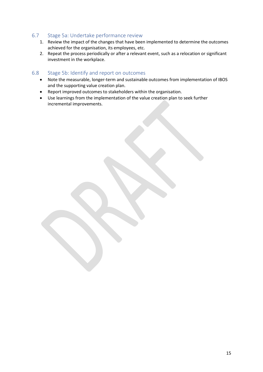#### 6.7 Stage 5a: Undertake performance review

- 1. Review the impact of the changes that have been implemented to determine the outcomes achieved for the organisation, its employees, etc.
- 2. Repeat the process periodically or after a relevant event, such as a relocation or significant investment in the workplace.

#### 6.8 Stage 5b: Identify and report on outcomes

- Note the measurable, longer-term and sustainable outcomes from implementation of IBOS and the supporting value creation plan.
- Report improved outcomes to stakeholders within the organisation.
- Use learnings from the implementation of the value creation plan to seek further incremental improvements.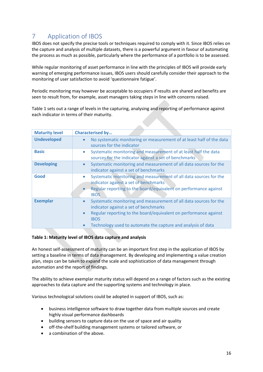# 7 Application of IBOS

IBOS does not specify the precise tools or techniques required to comply with it. Since IBOS relies on the capture and analysis of multiple datasets, there is a powerful argument in favour of automating the process as much as possible, particularly where the performance of a portfolio is to be assessed.

While regular monitoring of asset performance in line with the principles of IBOS will provide early warning of emerging performance issues, IBOS users should carefully consider their approach to the monitoring of user satisfaction to avoid 'questionnaire fatigue'.

Periodic monitoring may however be acceptable to occupiers if results are shared and benefits are seen to result from, for example, asset managers taking steps in line with concerns raised.

Table 1 sets out a range of levels in the capturing, analysing and reporting of performance against each indicator in terms of their maturity.

| <b>Maturity level</b> | <b>Characterised by</b>                                                                                                                                                                                                                                                                              |
|-----------------------|------------------------------------------------------------------------------------------------------------------------------------------------------------------------------------------------------------------------------------------------------------------------------------------------------|
| <b>Undeveloped</b>    | No systematic monitoring or measurement of at least half of the data<br>$\bullet$<br>sources for the indicator                                                                                                                                                                                       |
| <b>Basic</b>          | Systematic monitoring and measurement of at least half the data<br>$\bullet$<br>sources for the indicator against a set of benchmarks                                                                                                                                                                |
| <b>Developing</b>     | Systematic monitoring and measurement of all data sources for the<br>$\bullet$<br>indicator against a set of benchmarks                                                                                                                                                                              |
| Good                  | Systematic monitoring and measurement of all data sources for the<br>$\bullet$<br>indicator against a set of benchmarks<br>Regular reporting to the board/equivalent on performance against<br><b>IBOS</b>                                                                                           |
| <b>Exemplar</b>       | Systematic monitoring and measurement of all data sources for the<br>$\bullet$<br>indicator against a set of benchmarks<br>Regular reporting to the board/equivalent on performance against<br>$\bullet$<br><b>IBOS</b><br>Technology used to automate the capture and analysis of data<br>$\bullet$ |

#### **Table 1: Maturity level of IBOS data capture and analysis**

An honest self-assessment of maturity can be an important first step in the application of IBOS by setting a baseline in terms of data management. By developing and implementing a value creation plan, steps can be taken to expand the scale and sophistication of data management through automation and the report of findings.

The ability to achieve exemplar maturity status will depend on a range of factors such as the existing approaches to data capture and the supporting systems and technology in place.

Various technological solutions could be adopted in support of IBOS, such as:

- business intelligence software to draw together data from multiple sources and create highly visual performance dashboards
- building sensors to capture data on the use of space and air quality
- off-the-shelf building management systems or tailored software, or
- a combination of the above.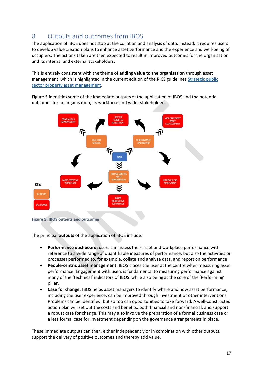# 8 Outputs and outcomes from IBOS

The application of IBOS does not stop at the collation and analysis of data. Instead, it requires users to develop value creation plans to enhance asset performance and the experience and well-being of occupiers. The actions taken are then expected to result in improved outcomes for the organisation and its internal and external stakeholders.

This is entirely consistent with the theme of **adding value to the organisation** through asset management, which is highlighted in the current edition of the RICS guideline[s Strategic public](https://www.rics.org/uk/upholding-professional-standards/sector-standards/real-estate/strategic-public-sector-property-asset-management-3rd-edition/)  [sector property asset management.](https://www.rics.org/uk/upholding-professional-standards/sector-standards/real-estate/strategic-public-sector-property-asset-management-3rd-edition/)

Figure 5 identifies some of the immediate outputs of the application of IBOS and the potential outcomes for an organisation, its workforce and wider stakeholders.



**Figure 5: IBOS outputs and outcomes**

The principal **outputs** of the application of IBOS include:

- **Performance dashboard**: users can assess their asset and workplace performance with reference to a wide range of quantifiable measures of performance, but also the activities or processes performed to, for example, collate and analyse data, and report on performance.
- **People-centric asset management**: IBOS places the user at the centre when measuring asset performance. Engagement with users is fundamental to measuring performance against many of the 'technical' indicators of IBOS, while also being at the core of the 'Performing' pillar.
- **Case for change**: IBOS helps asset managers to identify where and how asset performance, including the user experience, can be improved through investment or other interventions. Problems can be identified, but so too can opportunities to take forward. A well-constructed action plan will set out the costs and benefits, both financial and non-financial, and support a robust case for change. This may also involve the preparation of a formal business case or a less formal case for investment depending on the governance arrangements in place.

These immediate outputs can then, either independently or in combination with other outputs, support the delivery of positive outcomes and thereby add value.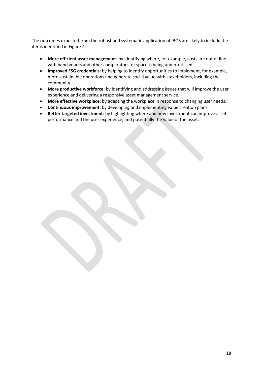The outcomes expected from the robust and systematic application of IBOS are likely to include the items identified in Figure 4:

- **More efficient asset management**: by identifying where, for example, costs are out of line with benchmarks and other comparators, or space is being under-utilised.
- **Improved ESG credentials**: by helping to identify opportunities to implement, for example, more sustainable operations and generate social value with stakeholders, including the community.
- **More productive workforce**: by identifying and addressing issues that will improve the user experience and delivering a responsive asset management service.
- **More effective workplace**: by adapting the workplace in response to changing user needs.
- **Continuous improvement**: by developing and implementing value creation plans.
- **Better targeted investment**: by highlighting where and how investment can improve asset performance and the user experience, and potentially the value of the asset.